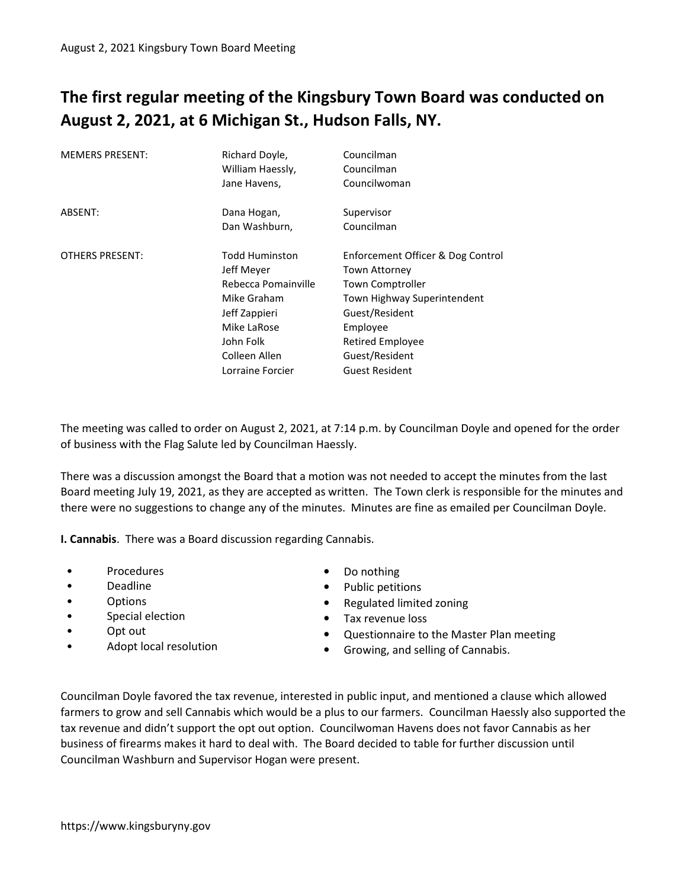## The first regular meeting of the Kingsbury Town Board was conducted on August 2, 2021, at 6 Michigan St., Hudson Falls, NY.

| <b>MEMERS PRESENT:</b> | Richard Doyle,<br>William Haessly,<br>Jane Havens, | Councilman<br>Councilman<br>Councilwoman |
|------------------------|----------------------------------------------------|------------------------------------------|
| ABSENT:                | Dana Hogan,                                        | Supervisor                               |
|                        | Dan Washburn,                                      | Councilman                               |
| <b>OTHERS PRESENT:</b> | <b>Todd Huminston</b>                              | Enforcement Officer & Dog Control        |
|                        | Jeff Meyer                                         | <b>Town Attorney</b>                     |
|                        | Rebecca Pomainville                                | <b>Town Comptroller</b>                  |
|                        | Mike Graham                                        | Town Highway Superintendent              |
|                        | Jeff Zappieri                                      | Guest/Resident                           |
|                        | Mike LaRose                                        | Employee                                 |
|                        | John Folk                                          | <b>Retired Employee</b>                  |
|                        | Colleen Allen                                      | Guest/Resident                           |
|                        | Lorraine Forcier                                   | <b>Guest Resident</b>                    |

The meeting was called to order on August 2, 2021, at 7:14 p.m. by Councilman Doyle and opened for the order of business with the Flag Salute led by Councilman Haessly.

There was a discussion amongst the Board that a motion was not needed to accept the minutes from the last Board meeting July 19, 2021, as they are accepted as written. The Town clerk is responsible for the minutes and there were no suggestions to change any of the minutes. Minutes are fine as emailed per Councilman Doyle.

I. Cannabis. There was a Board discussion regarding Cannabis.

- Procedures
- Deadline
- Options
- Special election
- Opt out
- Adopt local resolution
- Do nothing
- Public petitions
- Regulated limited zoning
- Tax revenue loss
- Questionnaire to the Master Plan meeting
- Growing, and selling of Cannabis.

Councilman Doyle favored the tax revenue, interested in public input, and mentioned a clause which allowed farmers to grow and sell Cannabis which would be a plus to our farmers. Councilman Haessly also supported the tax revenue and didn't support the opt out option. Councilwoman Havens does not favor Cannabis as her business of firearms makes it hard to deal with. The Board decided to table for further discussion until Councilman Washburn and Supervisor Hogan were present.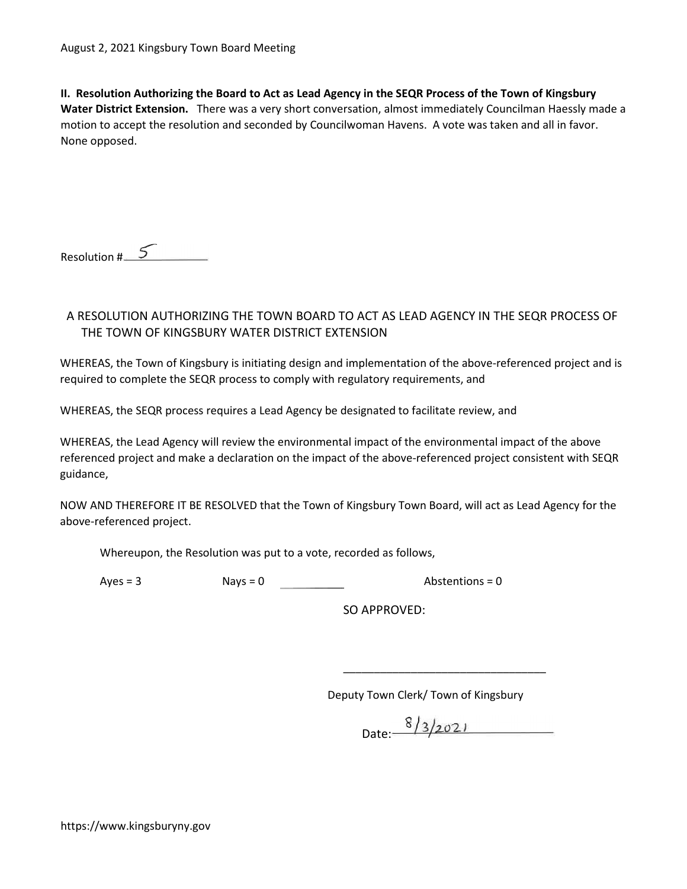II. Resolution Authorizing the Board to Act as Lead Agency in the SEQR Process of the Town of Kingsbury Water District Extension. There was a very short conversation, almost immediately Councilman Haessly made a motion to accept the resolution and seconded by Councilwoman Havens. A vote was taken and all in favor. None opposed.

Resolution  $\sharp$  5

## A RESOLUTION AUTHORIZING THE TOWN BOARD TO ACT AS LEAD AGENCY IN THE SEQR PROCESS OF THE TOWN OF KINGSBURY WATER DISTRICT EXTENSION

WHEREAS, the Town of Kingsbury is initiating design and implementation of the above-referenced project and is required to complete the SEQR process to comply with regulatory requirements, and

WHEREAS, the SEQR process requires a Lead Agency be designated to facilitate review, and

WHEREAS, the Lead Agency will review the environmental impact of the environmental impact of the above referenced project and make a declaration on the impact of the above-referenced project consistent with SEQR guidance,

NOW AND THEREFORE IT BE RESOLVED that the Town of Kingsbury Town Board, will act as Lead Agency for the above-referenced project.

 $\overline{\phantom{a}}$  , and the contract of the contract of the contract of the contract of the contract of the contract of the contract of the contract of the contract of the contract of the contract of the contract of the contrac

Whereupon, the Resolution was put to a vote, recorded as follows,

 $Ayes = 3$  Nays = 0  $Abst$  Abstentions = 0

SO APPROVED:

Deputy Town Clerk/ Town of Kingsbury

 $\frac{8}{3}2021$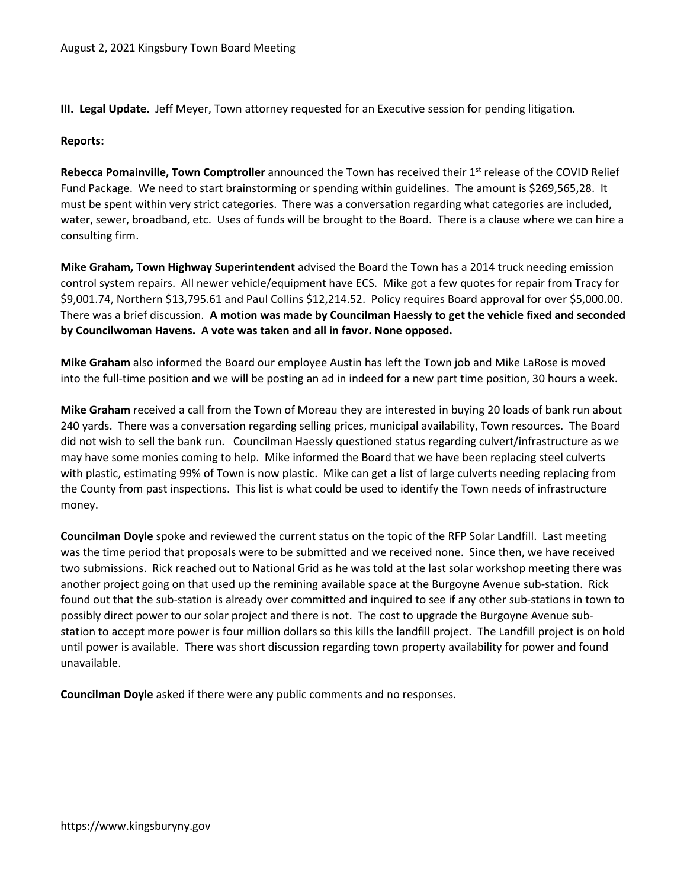III. Legal Update. Jeff Meyer, Town attorney requested for an Executive session for pending litigation.

## Reports:

Rebecca Pomainville, Town Comptroller announced the Town has received their 1st release of the COVID Relief Fund Package. We need to start brainstorming or spending within guidelines. The amount is \$269,565,28. It must be spent within very strict categories. There was a conversation regarding what categories are included, water, sewer, broadband, etc. Uses of funds will be brought to the Board. There is a clause where we can hire a consulting firm.

Mike Graham, Town Highway Superintendent advised the Board the Town has a 2014 truck needing emission control system repairs. All newer vehicle/equipment have ECS. Mike got a few quotes for repair from Tracy for \$9,001.74, Northern \$13,795.61 and Paul Collins \$12,214.52. Policy requires Board approval for over \$5,000.00. There was a brief discussion. A motion was made by Councilman Haessly to get the vehicle fixed and seconded by Councilwoman Havens. A vote was taken and all in favor. None opposed.

Mike Graham also informed the Board our employee Austin has left the Town job and Mike LaRose is moved into the full-time position and we will be posting an ad in indeed for a new part time position, 30 hours a week.

Mike Graham received a call from the Town of Moreau they are interested in buying 20 loads of bank run about 240 yards. There was a conversation regarding selling prices, municipal availability, Town resources. The Board did not wish to sell the bank run. Councilman Haessly questioned status regarding culvert/infrastructure as we may have some monies coming to help. Mike informed the Board that we have been replacing steel culverts with plastic, estimating 99% of Town is now plastic. Mike can get a list of large culverts needing replacing from the County from past inspections. This list is what could be used to identify the Town needs of infrastructure money.

Councilman Doyle spoke and reviewed the current status on the topic of the RFP Solar Landfill. Last meeting was the time period that proposals were to be submitted and we received none. Since then, we have received two submissions. Rick reached out to National Grid as he was told at the last solar workshop meeting there was another project going on that used up the remining available space at the Burgoyne Avenue sub-station. Rick found out that the sub-station is already over committed and inquired to see if any other sub-stations in town to possibly direct power to our solar project and there is not. The cost to upgrade the Burgoyne Avenue substation to accept more power is four million dollars so this kills the landfill project. The Landfill project is on hold until power is available. There was short discussion regarding town property availability for power and found unavailable.

Councilman Doyle asked if there were any public comments and no responses.